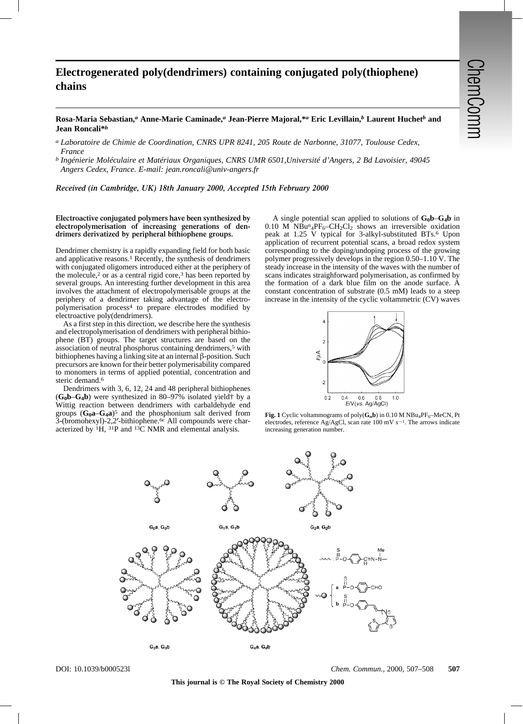## **Electrogenerated poly(dendrimers) containing conjugated poly(thiophene) chains**

## **Rosa-Maria Sebastian,***a* **Anne-Marie Caminade,***a* **Jean-Pierre Majoral,\****a* **Eric Levillain,***b* **Laurent Huchet***b* **and Jean Roncali\****b*

*a Laboratoire de Chimie de Coordination, CNRS UPR 8241, 205 Route de Narbonne, 31077, Toulouse Cedex, France*

*b Ingénierie Moléculaire et Matériaux Organiques, CNRS UMR 6501,Université d'Angers, 2 Bd Lavoisier, 49045 Angers Cedex, France. E-mail: jean.roncali@univ-angers.fr*

*Received (in Cambridge, UK) 18th January 2000, Accepted 15th February 2000*

## **Electroactive conjugated polymers have been synthesized by electropolymerisation of increasing generations of dendrimers derivatized by peripheral bithiophene groups.**

Dendrimer chemistry is a rapidly expanding field for both basic and applicative reasons.1 Recently, the synthesis of dendrimers with conjugated oligomers introduced either at the periphery of the molecule,<sup>2</sup> or as a central rigid core,<sup>3</sup> has been reported by several groups. An interesting further development in this area involves the attachment of electropolymerisable groups at the periphery of a dendrimer taking advantage of the electropolymerisation process4 to prepare electrodes modified by electroactive poly(dendrimers).

As a first step in this direction, we describe here the synthesis and electropolymerisation of dendrimers with peripheral bithiophene (BT) groups. The target structures are based on the association of neutral phosphorus containing dendrimers,5 with bithiophenes having a linking site at an internal  $\beta$ -position. Such precursors are known for their better polymerisability compared to monomers in terms of applied potential, concentration and steric demand.<sup>6</sup>

Dendrimers with 3, 6, 12, 24 and 48 peripheral bithiophenes  $(G_0b-G_4b)$  were synthesized in 80–97% isolated yield<sup>†</sup> by a Wittig reaction between dendrimers with carbaldehyde end groups  $(G_0a-G_4a)^5$  and the phosphonium salt derived from 3-(bromohexyl)-2,2'-bithiophene.<sup>6c</sup> All compounds were characterized by  ${}^{1}H$ ,  ${}^{31}P$  and  ${}^{13}C$  NMR and elemental analysis.

A single potential scan applied to solutions of  $G_0b-G_4b$  in 0.10 M  $NBu^n{}_4PF_6-CH_2Cl_2$  shows an irreversible oxidation peak at 1.25 V typical for 3-alkyl-substituted BTs.6 Upon application of recurrent potential scans, a broad redox system corresponding to the doping/undoping process of the growing polymer progressively develops in the region 0.50–1.10 V. The steady increase in the intensity of the waves with the number of scans indicates straighforward polymerisation, as confirmed by the formation of a dark blue film on the anode surface. A constant concentration of substrate (0.5 mM) leads to a steep increase in the intensity of the cyclic voltammetric (CV) waves